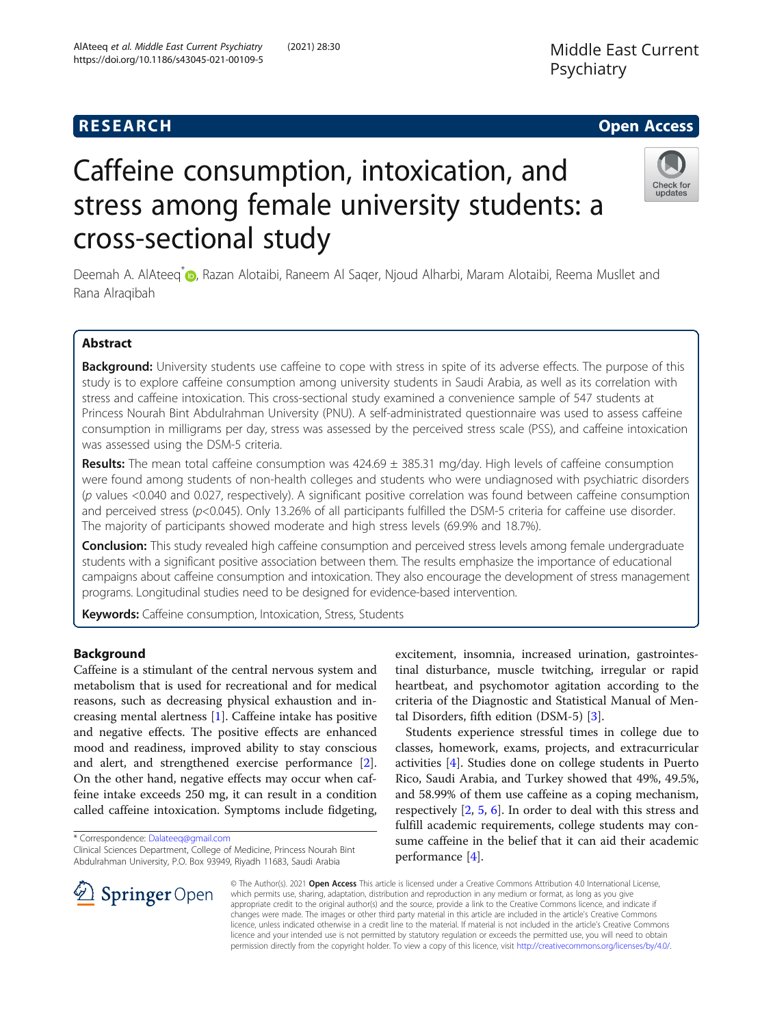## Middle East Current Psychiatry

## **RESEARCH CHE Open Access**

## Check for updates

# Caffeine consumption, intoxication, and stress among female university students: a cross-sectional study

Deemah A. AlAteeq<sup>\*</sup> <sub>(D</sub>, Razan Alotaibi, Raneem Al Saqer, Njoud Alharbi, Maram Alotaibi, Reema Musllet and Rana Alraqibah

### Abstract

Background: University students use caffeine to cope with stress in spite of its adverse effects. The purpose of this study is to explore caffeine consumption among university students in Saudi Arabia, as well as its correlation with stress and caffeine intoxication. This cross-sectional study examined a convenience sample of 547 students at Princess Nourah Bint Abdulrahman University (PNU). A self-administrated questionnaire was used to assess caffeine consumption in milligrams per day, stress was assessed by the perceived stress scale (PSS), and caffeine intoxication was assessed using the DSM-5 criteria.

**Results:** The mean total caffeine consumption was  $424.69 \pm 385.31$  mg/day. High levels of caffeine consumption were found among students of non-health colleges and students who were undiagnosed with psychiatric disorders (p values <0.040 and 0.027, respectively). A significant positive correlation was found between caffeine consumption and perceived stress ( $p$ <0.045). Only 13.26% of all participants fulfilled the DSM-5 criteria for caffeine use disorder. The majority of participants showed moderate and high stress levels (69.9% and 18.7%).

**Conclusion:** This study revealed high caffeine consumption and perceived stress levels among female undergraduate students with a significant positive association between them. The results emphasize the importance of educational campaigns about caffeine consumption and intoxication. They also encourage the development of stress management programs. Longitudinal studies need to be designed for evidence-based intervention.

Keywords: Caffeine consumption, Intoxication, Stress, Students

#### Background

Caffeine is a stimulant of the central nervous system and metabolism that is used for recreational and for medical reasons, such as decreasing physical exhaustion and increasing mental alertness [[1](#page-8-0)]. Caffeine intake has positive and negative effects. The positive effects are enhanced mood and readiness, improved ability to stay conscious and alert, and strengthened exercise performance [\[2](#page-8-0)]. On the other hand, negative effects may occur when caffeine intake exceeds 250 mg, it can result in a condition called caffeine intoxication. Symptoms include fidgeting,

Clinical Sciences Department, College of Medicine, Princess Nourah Bint Abdulrahman University, P.O. Box 93949, Riyadh 11683, Saudi Arabia

excitement, insomnia, increased urination, gastrointestinal disturbance, muscle twitching, irregular or rapid heartbeat, and psychomotor agitation according to the criteria of the Diagnostic and Statistical Manual of Mental Disorders, fifth edition (DSM-5) [[3](#page-8-0)].

Students experience stressful times in college due to classes, homework, exams, projects, and extracurricular activities [[4\]](#page-8-0). Studies done on college students in Puerto Rico, Saudi Arabia, and Turkey showed that 49%, 49.5%, and 58.99% of them use caffeine as a coping mechanism, respectively [\[2](#page-8-0), [5](#page-8-0), [6](#page-8-0)]. In order to deal with this stress and fulfill academic requirements, college students may consume caffeine in the belief that it can aid their academic performance [[4](#page-8-0)].



© The Author(s). 2021 Open Access This article is licensed under a Creative Commons Attribution 4.0 International License, which permits use, sharing, adaptation, distribution and reproduction in any medium or format, as long as you give appropriate credit to the original author(s) and the source, provide a link to the Creative Commons licence, and indicate if changes were made. The images or other third party material in this article are included in the article's Creative Commons licence, unless indicated otherwise in a credit line to the material. If material is not included in the article's Creative Commons licence and your intended use is not permitted by statutory regulation or exceeds the permitted use, you will need to obtain permission directly from the copyright holder. To view a copy of this licence, visit <http://creativecommons.org/licenses/by/4.0/>.

<sup>\*</sup> Correspondence: [Dalateeq@gmail.com](mailto:Dalateeq@gmail.com)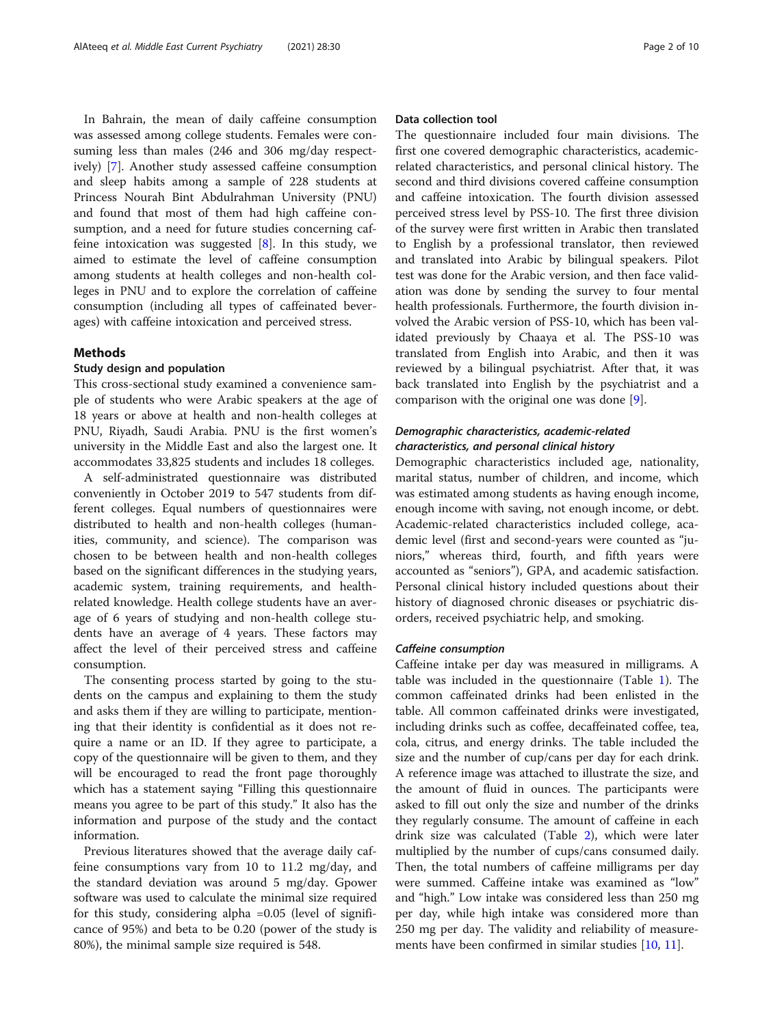In Bahrain, the mean of daily caffeine consumption was assessed among college students. Females were consuming less than males (246 and 306 mg/day respectively) [\[7](#page-8-0)]. Another study assessed caffeine consumption and sleep habits among a sample of 228 students at Princess Nourah Bint Abdulrahman University (PNU) and found that most of them had high caffeine consumption, and a need for future studies concerning caffeine intoxication was suggested  $[8]$ . In this study, we aimed to estimate the level of caffeine consumption among students at health colleges and non-health colleges in PNU and to explore the correlation of caffeine consumption (including all types of caffeinated beverages) with caffeine intoxication and perceived stress.

#### Methods

#### Study design and population

This cross-sectional study examined a convenience sample of students who were Arabic speakers at the age of 18 years or above at health and non-health colleges at PNU, Riyadh, Saudi Arabia. PNU is the first women's university in the Middle East and also the largest one. It accommodates 33,825 students and includes 18 colleges.

A self-administrated questionnaire was distributed conveniently in October 2019 to 547 students from different colleges. Equal numbers of questionnaires were distributed to health and non-health colleges (humanities, community, and science). The comparison was chosen to be between health and non-health colleges based on the significant differences in the studying years, academic system, training requirements, and healthrelated knowledge. Health college students have an average of 6 years of studying and non-health college students have an average of 4 years. These factors may affect the level of their perceived stress and caffeine consumption.

The consenting process started by going to the students on the campus and explaining to them the study and asks them if they are willing to participate, mentioning that their identity is confidential as it does not require a name or an ID. If they agree to participate, a copy of the questionnaire will be given to them, and they will be encouraged to read the front page thoroughly which has a statement saying "Filling this questionnaire means you agree to be part of this study." It also has the information and purpose of the study and the contact information.

Previous literatures showed that the average daily caffeine consumptions vary from 10 to 11.2 mg/day, and the standard deviation was around 5 mg/day. Gpower software was used to calculate the minimal size required for this study, considering alpha =0.05 (level of significance of 95%) and beta to be 0.20 (power of the study is 80%), the minimal sample size required is 548.

#### Data collection tool

The questionnaire included four main divisions. The first one covered demographic characteristics, academicrelated characteristics, and personal clinical history. The second and third divisions covered caffeine consumption and caffeine intoxication. The fourth division assessed perceived stress level by PSS-10. The first three division of the survey were first written in Arabic then translated to English by a professional translator, then reviewed and translated into Arabic by bilingual speakers. Pilot test was done for the Arabic version, and then face validation was done by sending the survey to four mental health professionals. Furthermore, the fourth division involved the Arabic version of PSS-10, which has been validated previously by Chaaya et al. The PSS-10 was translated from English into Arabic, and then it was reviewed by a bilingual psychiatrist. After that, it was back translated into English by the psychiatrist and a comparison with the original one was done [\[9](#page-9-0)].

#### Demographic characteristics, academic-related characteristics, and personal clinical history

Demographic characteristics included age, nationality, marital status, number of children, and income, which was estimated among students as having enough income, enough income with saving, not enough income, or debt. Academic-related characteristics included college, academic level (first and second-years were counted as "juniors," whereas third, fourth, and fifth years were accounted as "seniors"), GPA, and academic satisfaction. Personal clinical history included questions about their history of diagnosed chronic diseases or psychiatric disorders, received psychiatric help, and smoking.

#### Caffeine consumption

Caffeine intake per day was measured in milligrams. A table was included in the questionnaire (Table [1\)](#page-2-0). The common caffeinated drinks had been enlisted in the table. All common caffeinated drinks were investigated, including drinks such as coffee, decaffeinated coffee, tea, cola, citrus, and energy drinks. The table included the size and the number of cup/cans per day for each drink. A reference image was attached to illustrate the size, and the amount of fluid in ounces. The participants were asked to fill out only the size and number of the drinks they regularly consume. The amount of caffeine in each drink size was calculated (Table [2](#page-3-0)), which were later multiplied by the number of cups/cans consumed daily. Then, the total numbers of caffeine milligrams per day were summed. Caffeine intake was examined as "low" and "high." Low intake was considered less than 250 mg per day, while high intake was considered more than 250 mg per day. The validity and reliability of measurements have been confirmed in similar studies [\[10,](#page-9-0) [11\]](#page-9-0).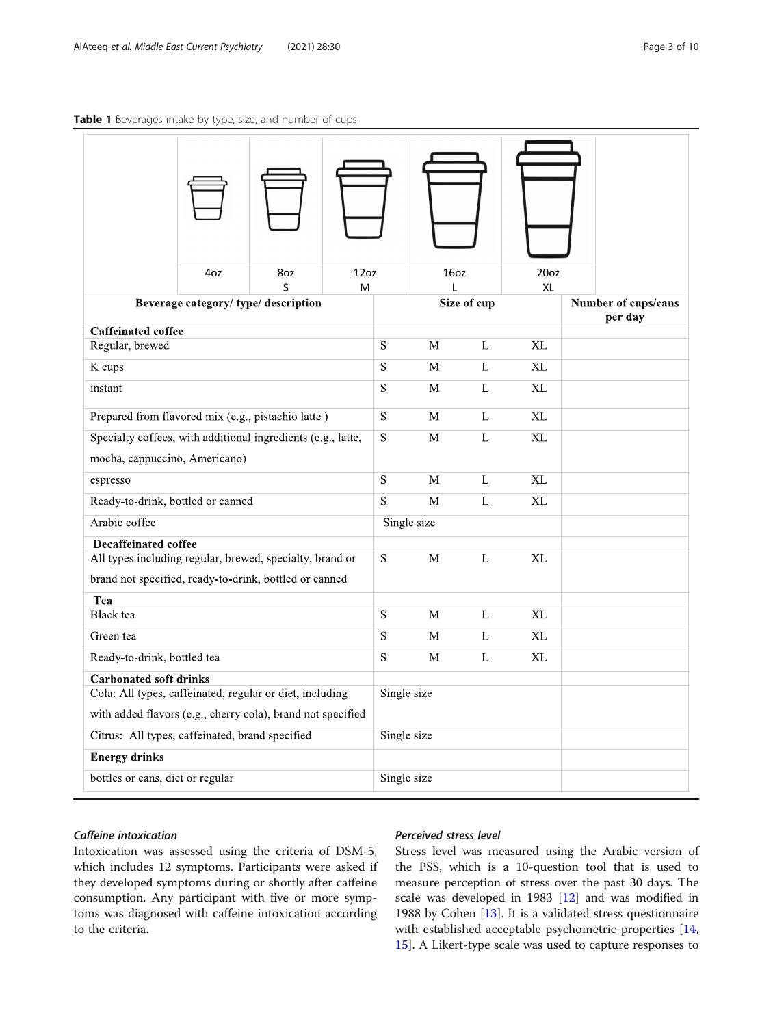#### <span id="page-2-0"></span>Table 1 Beverages intake by type, size, and number of cups

|                                                                                           | 4oz                                | 8oz<br>S    | 12oz                    |                         | 16oz         |             | 20 <sub>oz</sub> |                     |
|-------------------------------------------------------------------------------------------|------------------------------------|-------------|-------------------------|-------------------------|--------------|-------------|------------------|---------------------|
|                                                                                           | Beverage category/type/description |             | M                       |                         | L            | Size of cup | XL               | Number of cups/cans |
|                                                                                           |                                    |             |                         |                         |              |             |                  | per day             |
| <b>Caffeinated coffee</b><br>Regular, brewed                                              |                                    |             |                         | $\overline{\mathbf{S}}$ | M            | L           | XL               |                     |
| K cups                                                                                    |                                    |             |                         | $\overline{\mathbf{S}}$ | M            | L           | XL               |                     |
| instant                                                                                   |                                    |             |                         | $\mathbf S$             | M            | L           | XL               |                     |
|                                                                                           |                                    |             |                         |                         |              |             |                  |                     |
| Prepared from flavored mix (e.g., pistachio latte)                                        |                                    |             |                         | S                       | M            | L           | <b>XL</b>        |                     |
| Specialty coffees, with additional ingredients (e.g., latte,                              |                                    |             |                         | S.                      | M            | L           | XL               |                     |
| mocha, cappuccino, Americano)                                                             |                                    |             |                         |                         |              |             |                  |                     |
| espresso                                                                                  |                                    |             |                         | S                       | M            | L           | XL               |                     |
| Ready-to-drink, bottled or canned                                                         |                                    |             |                         | $\overline{S}$          | M            | L           | XL               |                     |
| Arabic coffee                                                                             |                                    |             |                         |                         | Single size  |             |                  |                     |
| <b>Decaffeinated coffee</b>                                                               |                                    |             |                         |                         |              |             |                  |                     |
| All types including regular, brewed, specialty, brand or                                  |                                    |             |                         | S                       | $\mathbf{M}$ | L           | XL               |                     |
| brand not specified, ready-to-drink, bottled or canned                                    |                                    |             |                         |                         |              |             |                  |                     |
| Tea<br>Black tea                                                                          |                                    |             |                         | $\overline{\mathbf{S}}$ | M            | L           | XL               |                     |
|                                                                                           |                                    |             |                         | $\overline{\mathbf{S}}$ |              |             |                  |                     |
| Green tea                                                                                 |                                    |             |                         |                         | M            | L           | XL               |                     |
| Ready-to-drink, bottled tea                                                               |                                    |             | $\overline{\mathbf{S}}$ | M                       | L            | XL          |                  |                     |
| <b>Carbonated soft drinks</b><br>Cola: All types, caffeinated, regular or diet, including |                                    | Single size |                         |                         |              |             |                  |                     |
| with added flavors (e.g., cherry cola), brand not specified                               |                                    |             |                         |                         |              |             |                  |                     |
| Citrus: All types, caffeinated, brand specified                                           |                                    |             | Single size             |                         |              |             |                  |                     |
| <b>Energy drinks</b>                                                                      |                                    |             |                         |                         |              |             |                  |                     |
| bottles or cans, diet or regular                                                          |                                    |             | Single size             |                         |              |             |                  |                     |
|                                                                                           |                                    |             |                         |                         |              |             |                  |                     |

#### Caffeine intoxication

 $\overline{\phantom{a}}$ 

Intoxication was assessed using the criteria of DSM-5, which includes 12 symptoms. Participants were asked if they developed symptoms during or shortly after caffeine consumption. Any participant with five or more symptoms was diagnosed with caffeine intoxication according to the criteria.

#### Perceived stress level

Stress level was measured using the Arabic version of the PSS, which is a 10-question tool that is used to measure perception of stress over the past 30 days. The scale was developed in 1983 [[12](#page-9-0)] and was modified in 1988 by Cohen [\[13](#page-9-0)]. It is a validated stress questionnaire with established acceptable psychometric properties [[14](#page-9-0), [15\]](#page-9-0). A Likert-type scale was used to capture responses to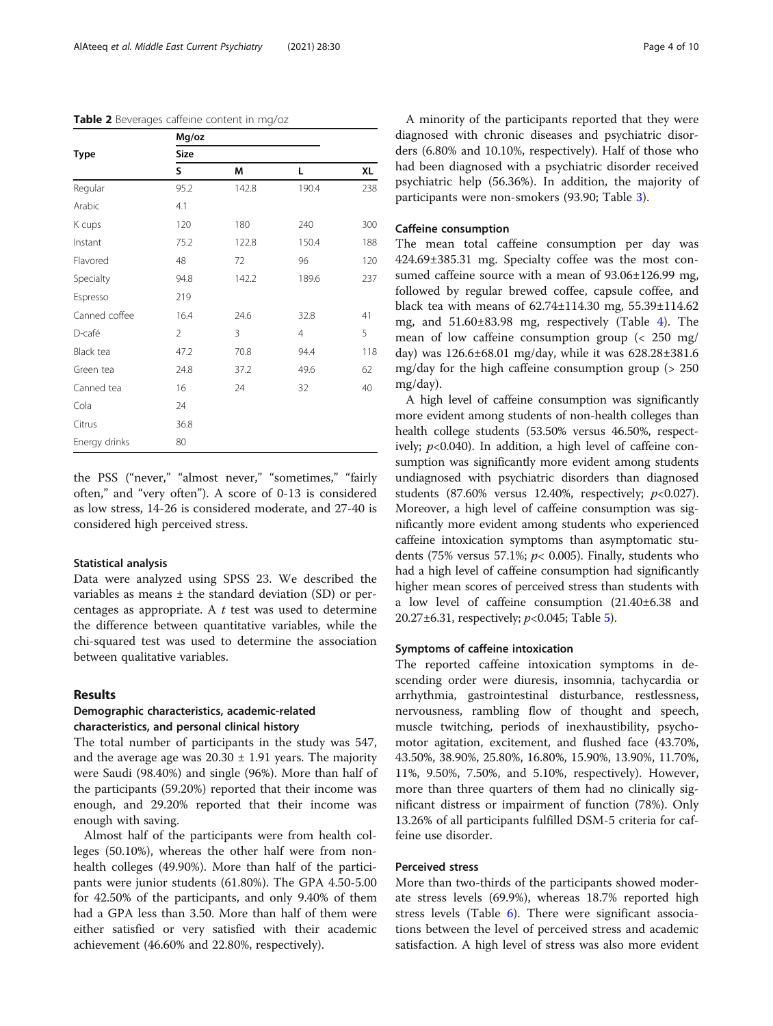|               | Mg/oz          |       |                |     |
|---------------|----------------|-------|----------------|-----|
| Type          | Size           |       |                |     |
|               | S              | M     | Г              | XL  |
| Regular       | 95.2           | 142.8 | 190.4          | 238 |
| Arabic        | 4.1            |       |                |     |
| K cups        | 120            | 180   | 240            | 300 |
| Instant       | 75.2           | 122.8 | 150.4          | 188 |
| Flavored      | 48             | 72    | 96             | 120 |
| Specialty     | 94.8           | 142.2 | 189.6          | 237 |
| Espresso      | 219            |       |                |     |
| Canned coffee | 16.4           | 24.6  | 32.8           | 41  |
| D-café        | $\overline{2}$ | 3     | $\overline{4}$ | 5   |
| Black tea     | 47.2           | 70.8  | 94.4           | 118 |
| Green tea     | 24.8           | 37.2  | 49.6           | 62  |
| Canned tea    | 16             | 24    | 32             | 40  |
| Cola          | 24             |       |                |     |
| Citrus        | 36.8           |       |                |     |
| Energy drinks | 80             |       |                |     |

<span id="page-3-0"></span>Table 2 Beverages caffeine content in mg/oz

the PSS ("never," "almost never," "sometimes," "fairly often," and "very often"). A score of 0-13 is considered as low stress, 14-26 is considered moderate, and 27-40 is considered high perceived stress.

#### Statistical analysis

Data were analyzed using SPSS 23. We described the variables as means  $\pm$  the standard deviation (SD) or percentages as appropriate. A  $t$  test was used to determine the difference between quantitative variables, while the chi-squared test was used to determine the association between qualitative variables.

#### Results

#### Demographic characteristics, academic-related characteristics, and personal clinical history

The total number of participants in the study was 547, and the average age was  $20.30 \pm 1.91$  years. The majority were Saudi (98.40%) and single (96%). More than half of the participants (59.20%) reported that their income was enough, and 29.20% reported that their income was enough with saving.

Almost half of the participants were from health colleges (50.10%), whereas the other half were from nonhealth colleges (49.90%). More than half of the participants were junior students (61.80%). The GPA 4.50-5.00 for 42.50% of the participants, and only 9.40% of them had a GPA less than 3.50. More than half of them were either satisfied or very satisfied with their academic achievement (46.60% and 22.80%, respectively).

A minority of the participants reported that they were diagnosed with chronic diseases and psychiatric disorders (6.80% and 10.10%, respectively). Half of those who had been diagnosed with a psychiatric disorder received psychiatric help (56.36%). In addition, the majority of participants were non-smokers (93.90; Table [3](#page-4-0)).

#### Caffeine consumption

The mean total caffeine consumption per day was 424.69±385.31 mg. Specialty coffee was the most consumed caffeine source with a mean of 93.06±126.99 mg, followed by regular brewed coffee, capsule coffee, and black tea with means of 62.74±114.30 mg, 55.39±114.62 mg, and 51.60±83.98 mg, respectively (Table [4](#page-4-0)). The mean of low caffeine consumption group (< 250 mg/ day) was 126.6±68.01 mg/day, while it was 628.28±381.6 mg/day for the high caffeine consumption group (> 250 mg/day).

A high level of caffeine consumption was significantly more evident among students of non-health colleges than health college students (53.50% versus 46.50%, respectively;  $p<0.040$ ). In addition, a high level of caffeine consumption was significantly more evident among students undiagnosed with psychiatric disorders than diagnosed students (87.60% versus 12.40%, respectively;  $p<0.027$ ). Moreover, a high level of caffeine consumption was significantly more evident among students who experienced caffeine intoxication symptoms than asymptomatic students (75% versus 57.1%;  $p$ < 0.005). Finally, students who had a high level of caffeine consumption had significantly higher mean scores of perceived stress than students with a low level of caffeine consumption (21.40±6.38 and 20.27 $\pm$ 6.31, respectively;  $p$ <0.04[5](#page-5-0); Table 5).

#### Symptoms of caffeine intoxication

The reported caffeine intoxication symptoms in descending order were diuresis, insomnia, tachycardia or arrhythmia, gastrointestinal disturbance, restlessness, nervousness, rambling flow of thought and speech, muscle twitching, periods of inexhaustibility, psychomotor agitation, excitement, and flushed face (43.70%, 43.50%, 38.90%, 25.80%, 16.80%, 15.90%, 13.90%, 11.70%, 11%, 9.50%, 7.50%, and 5.10%, respectively). However, more than three quarters of them had no clinically significant distress or impairment of function (78%). Only 13.26% of all participants fulfilled DSM-5 criteria for caffeine use disorder.

#### Perceived stress

More than two-thirds of the participants showed moderate stress levels (69.9%), whereas 18.7% reported high stress levels (Table [6\)](#page-6-0). There were significant associations between the level of perceived stress and academic satisfaction. A high level of stress was also more evident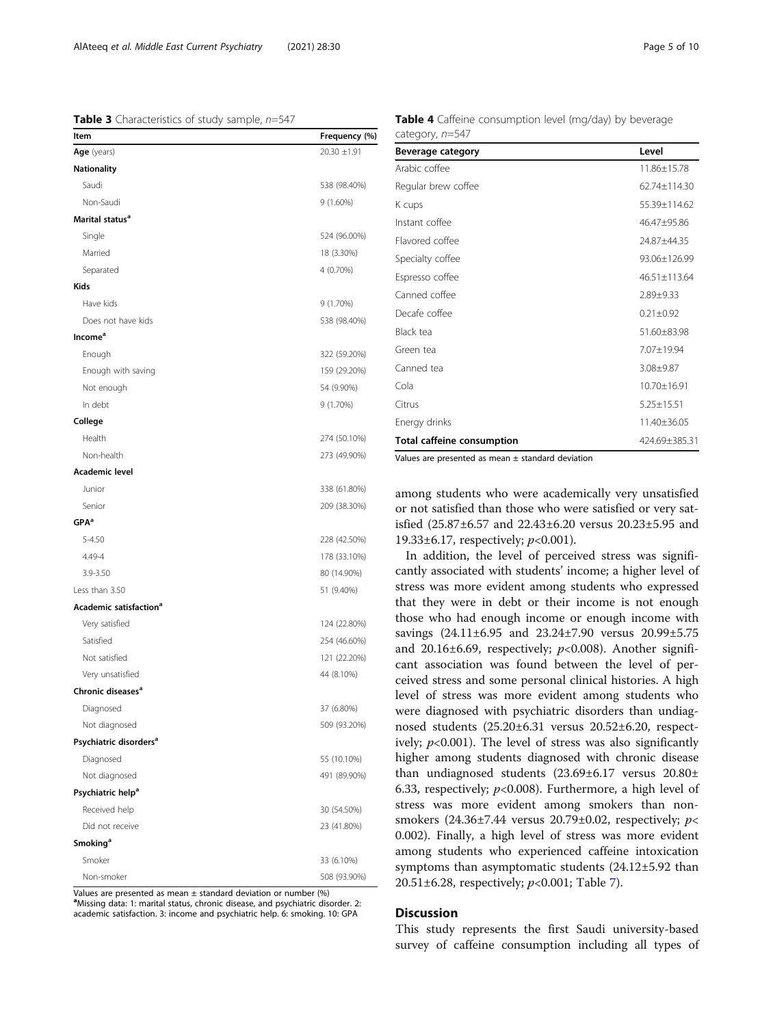#### <span id="page-4-0"></span>**Table 3** Characteristics of study sample,  $n=547$

| Item                               | Frequency (%)    |
|------------------------------------|------------------|
| Age (years)                        | $20.30 \pm 1.91$ |
| <b>Nationality</b>                 |                  |
| Saudi                              | 538 (98.40%)     |
| Non-Saudi                          | $9(1.60\%)$      |
| Marital status <sup>a</sup>        |                  |
| Single                             | 524 (96.00%)     |
| Married                            | 18 (3.30%)       |
| Separated                          | 4 (0.70%)        |
| <b>Kids</b>                        |                  |
| Have kids                          | 9 (1.70%)        |
| Does not have kids                 | 538 (98.40%)     |
| Income <sup>a</sup>                |                  |
| Enough                             | 322 (59.20%)     |
| Enough with saving                 | 159 (29.20%)     |
| Not enough                         | 54 (9.90%)       |
| In debt                            | 9 (1.70%)        |
| College                            |                  |
| Health                             | 274 (50.10%)     |
| Non-health                         | 273 (49.90%)     |
| Academic level                     |                  |
| Junior                             | 338 (61.80%)     |
| Senior                             | 209 (38.30%)     |
| GPA <sup>a</sup>                   |                  |
| $5 - 4.50$                         | 228 (42.50%)     |
| 4.49-4                             | 178 (33.10%)     |
| 3.9-3.50                           | 80 (14.90%)      |
| Less than 3.50                     | 51 (9.40%)       |
| Academic satisfaction <sup>a</sup> |                  |
| Very satisfied                     | 124 (22.80%)     |
| Satisfied                          | 254 (46.60%)     |
| Not satisfied                      | 121 (22.20%)     |
| Very unsatisfied                   | 44 (8.10%)       |
| Chronic diseases <sup>a</sup>      |                  |
| Diagnosed                          | 37 (6.80%)       |
| Not diagnosed                      | 509 (93.20%)     |
| Psychiatric disorders <sup>a</sup> |                  |
| Diagnosed                          | 55 (10.10%)      |
| Not diagnosed                      | 491 (89.90%)     |
| Psychiatric help <sup>a</sup>      |                  |
| Received help                      | 30 (54.50%)      |
| Did not receive                    | 23 (41.80%)      |
| Smoking <sup>a</sup>               |                  |
| Smoker                             | 33 (6.10%)       |
| Non-smoker                         | 508 (93.90%)     |

Values are presented as mean  $\pm$  standard deviation or number (%) <sup>a</sup>Missing data: 1: marital status, chronic disease, and psychiatric disorder. 2: academic satisfaction. 3: income and psychiatric help. 6: smoking. 10: GPA

| Beverage category                 | Level            |
|-----------------------------------|------------------|
| Arabic coffee                     | 11.86±15.78      |
| Regular brew coffee               | 62.74±114.30     |
| K cups                            | 55.39±114.62     |
| Instant coffee                    | 46.47±95.86      |
| Flavored coffee                   | 24.87±44.35      |
| Specialty coffee                  | 93.06±126.99     |
| Espresso coffee                   | 46.51±113.64     |
| Canned coffee                     | $2.89 + 9.33$    |
| Decafe coffee                     | $0.21 \pm 0.92$  |
| Black tea                         | 51.60±83.98      |
| Green tea                         | $7.07 + 19.94$   |
| Canned tea                        | 3.08±9.87        |
| Cola                              | 10.70±16.91      |
| Citrus                            | $5.25 \pm 15.51$ |
| Energy drinks                     | 11.40±36.05      |
| <b>Total caffeine consumption</b> | 424.69±385.31    |
|                                   |                  |

Table 4 Caffeine consumption level (mg/day) by beverage category, n=547

Values are presented as mean  $\pm$  standard deviation

among students who were academically very unsatisfied or not satisfied than those who were satisfied or very satisfied (25.87±6.57 and 22.43±6.20 versus 20.23±5.95 and 19.33 $\pm$ 6.17, respectively;  $p < 0.001$ ).

In addition, the level of perceived stress was significantly associated with students' income; a higher level of stress was more evident among students who expressed that they were in debt or their income is not enough those who had enough income or enough income with savings (24.11±6.95 and 23.24±7.90 versus 20.99±5.75 and 20.16 $\pm$ 6.69, respectively;  $p$ <0.008). Another significant association was found between the level of perceived stress and some personal clinical histories. A high level of stress was more evident among students who were diagnosed with psychiatric disorders than undiagnosed students (25.20±6.31 versus 20.52±6.20, respectively;  $p<0.001$ ). The level of stress was also significantly higher among students diagnosed with chronic disease than undiagnosed students (23.69±6.17 versus 20.80± 6.33, respectively;  $p<0.008$ ). Furthermore, a high level of stress was more evident among smokers than nonsmokers (24.36±7.44 versus 20.79±0.02, respectively;  $p$ < 0.002). Finally, a high level of stress was more evident among students who experienced caffeine intoxication symptoms than asymptomatic students (24.12±5.92 than 20.51±6.28, respectively;  $p$ <0.001; Table [7\)](#page-7-0).

#### **Discussion**

This study represents the first Saudi university-based survey of caffeine consumption including all types of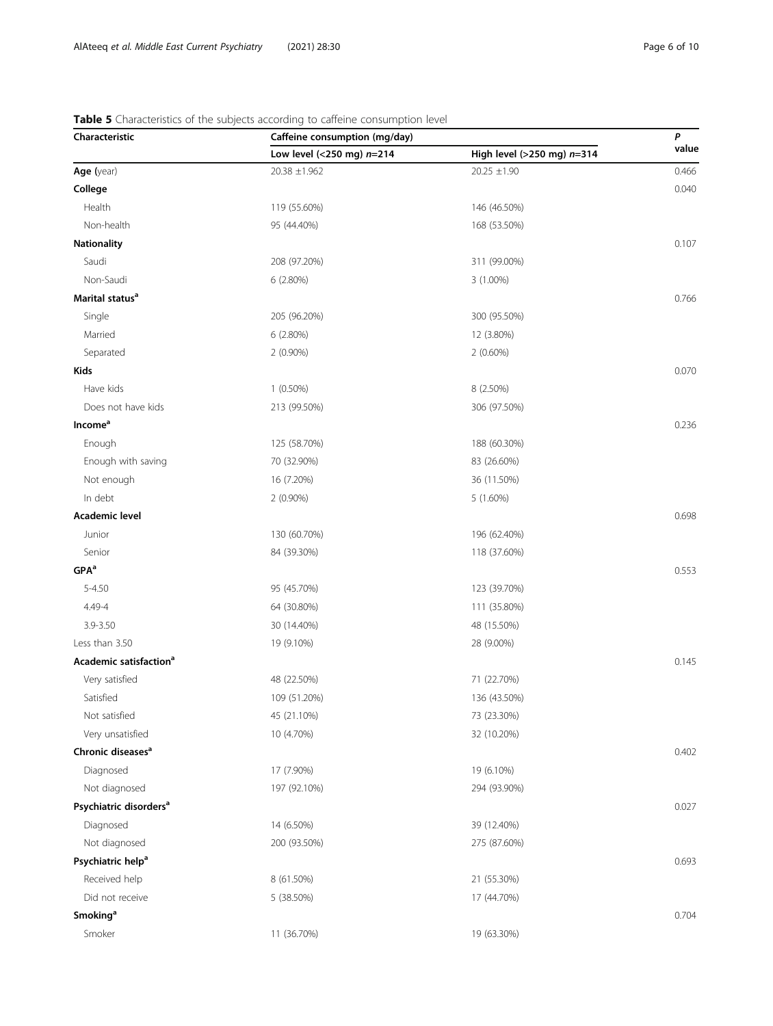## Characteristic Caffeine consumption (mg/day) P<br>
Characteristic Caffeine consumption (mg/day) P<br>
value Low level (<250 mg)  $n=214$  High level (>250 mg)  $n=314$ **Age (**year) 20.38  $\pm$  1.962 20.38  $\pm$  1.962 20.25  $\pm$  1.90 **College** 2008 **College** 2008 **College** 2008 **College** 2008 **College** 2008 **College** 2008 **College** 2008 2004 **College** Health 119 (55.60%) 146 (46.50%) Non-health 95 (44.40%) 168 (53.50%) **Nationality**  $0.107$ Saudi 208 (97.20%) 311 (99.00%) Non-Saudi 6 (2.80%) 3 (1.00%) Marital statusa 0.766 Single 205 (96.20%) 300 (95.50%) Married 12 (3.80%) 6 (2.80%) 12 (3.80%) Separated 2 (0.90%) 2 (0.60%) kids and the contract of the contract of the contract of the contract of the contract of the contract of the contract of the contract of the contract of the contract of the contract of the contract of the contract of the c Have kids 1 (0.50%) 8 (2.50%) Does not have kids 213 (99.50%) 306 (97.50%) **Income<sup>a</sup>** 0.236 Enough 125 (58.70%) 188 (60.30%) Enough with saving 83 (26.60%) 83 (26.60%) Not enough 16 (7.20%) 36 (11.50%) In debt 2 (0.90%) 5 (1.60%) **Academic level** and the control of the control of the control of the control of the control of the control of the control of the control of the control of the control of the control of the control of the control of the co Junior 130 (60.70%) 196 (62.40%) Senior 84 (39.30%) 84 (39.30%) 118 (37.60%)  $\mathsf{GPA}^\mathsf{a}$  and  $0.553$ 5-4.50 95 (45.70%) 123 (39.70%) 4.49-4 64 (30.80%) 111 (35.80%) 3.9-3.50 30 (14.40%) 48 (15.50%) Less than 3.50 19 (9.10%) 28 (9.00%) Academic satisfaction<sup>a</sup> 0.145 Very satisfied 48 (22.50%) 71 (22.70%) Satisfied 109 (51.20%) 136 (43.50%) Not satisfied 73 (23.30%) 45 (21.10%) 45 (21.10%) Very unsatisfied 10 (4.70%) 32 (10.20%) **Chronic diseases<sup>a</sup>** 0.402 Diagnosed 17 (7.90%) 19 (6.10%) Not diagnosed 197 (92.10%) 294 (93.90%) **Psychiatric disorders<sup>a</sup>** 0.027 Diagnosed 14 (6.50%) 39 (12.40%) Not diagnosed 200 (93.50%) 275 (87.60%) Psychiatric help<sup>a</sup> 0.693 Received help 21 (55.30%) 8 (61.50%) 8 (61.50%) 21 (55.30%) Did not receive 5 (38.50%) 17 (44.70%)  $\mathsf{Smoking}^\mathbf{a}$  . The contract of the contract of the contract of the contract of the contract of the contract of the contract of the contract of the contract of the contract of the contract of the contract of the contrac Smoker 11 (36.70%) 11 (36.70%) 19 (63.30%)

#### <span id="page-5-0"></span>Table 5 Characteristics of the subjects according to caffeine consumption level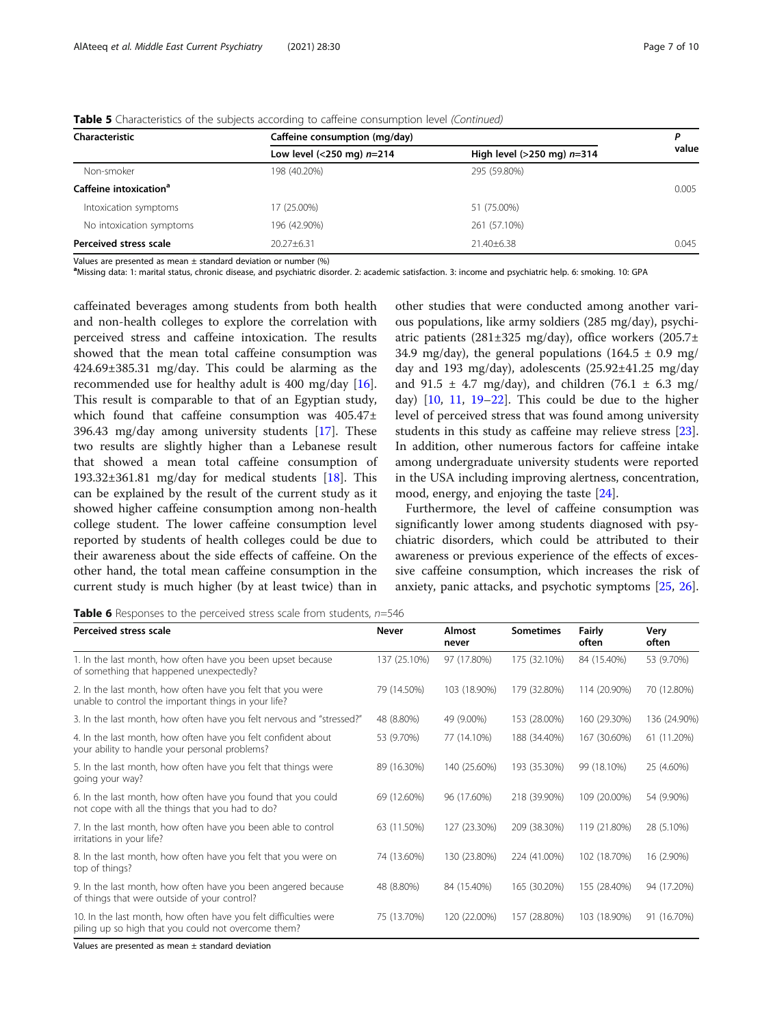| Characteristic                     | Caffeine consumption (mg/day) |                                 |       |  |
|------------------------------------|-------------------------------|---------------------------------|-------|--|
|                                    | Low level (<250 mg) $n=214$   | High level ( $>250$ mg) $n=314$ | value |  |
| Non-smoker                         | 198 (40.20%)                  | 295 (59.80%)                    |       |  |
| Caffeine intoxication <sup>a</sup> |                               |                                 | 0.005 |  |
| Intoxication symptoms              | 17 (25.00%)                   | 51 (75.00%)                     |       |  |
| No intoxication symptoms           | 196 (42.90%)                  | 261 (57.10%)                    |       |  |
| Perceived stress scale             | $20.27 + 6.31$                | $21.40 + 6.38$                  | 0.045 |  |

<span id="page-6-0"></span>

|  |  | Table 5 Characteristics of the subjects according to caffeine consumption level (Continued) |
|--|--|---------------------------------------------------------------------------------------------|
|  |  |                                                                                             |

Values are presented as mean ± standard deviation or number (%)

a Missing data: 1: marital status, chronic disease, and psychiatric disorder. 2: academic satisfaction. 3: income and psychiatric help. 6: smoking. 10: GPA

caffeinated beverages among students from both health and non-health colleges to explore the correlation with perceived stress and caffeine intoxication. The results showed that the mean total caffeine consumption was 424.69±385.31 mg/day. This could be alarming as the recommended use for healthy adult is 400 mg/day [\[16](#page-9-0)]. This result is comparable to that of an Egyptian study, which found that caffeine consumption was 405.47± 396.43 mg/day among university students [[17](#page-9-0)]. These two results are slightly higher than a Lebanese result that showed a mean total caffeine consumption of 193.32 $\pm$ 361.81 mg/day for medical students [\[18\]](#page-9-0). This can be explained by the result of the current study as it showed higher caffeine consumption among non-health college student. The lower caffeine consumption level reported by students of health colleges could be due to their awareness about the side effects of caffeine. On the other hand, the total mean caffeine consumption in the current study is much higher (by at least twice) than in

other studies that were conducted among another various populations, like army soldiers (285 mg/day), psychiatric patients (281±325 mg/day), office workers (205.7± 34.9 mg/day), the general populations (164.5  $\pm$  0.9 mg/ day and 193 mg/day), adolescents (25.92±41.25 mg/day and 91.5  $\pm$  4.7 mg/day), and children (76.1  $\pm$  6.3 mg/ day) [[10,](#page-9-0) [11](#page-9-0), [19](#page-9-0)–[22](#page-9-0)]. This could be due to the higher level of perceived stress that was found among university students in this study as caffeine may relieve stress [\[23](#page-9-0)]. In addition, other numerous factors for caffeine intake among undergraduate university students were reported in the USA including improving alertness, concentration, mood, energy, and enjoying the taste [[24\]](#page-9-0).

Furthermore, the level of caffeine consumption was significantly lower among students diagnosed with psychiatric disorders, which could be attributed to their awareness or previous experience of the effects of excessive caffeine consumption, which increases the risk of anxiety, panic attacks, and psychotic symptoms [[25,](#page-9-0) [26](#page-9-0)].

Table 6 Responses to the perceived stress scale from students,  $n=546$ 

| Perceived stress scale                                                                                                  | <b>Never</b> | Almost<br>never | <b>Sometimes</b> | Fairly<br>often | Very<br>often |
|-------------------------------------------------------------------------------------------------------------------------|--------------|-----------------|------------------|-----------------|---------------|
| 1. In the last month, how often have you been upset because<br>of something that happened unexpectedly?                 | 137 (25.10%) | 97 (17.80%)     | 175 (32.10%)     | 84 (15.40%)     | 53 (9.70%)    |
| 2. In the last month, how often have you felt that you were<br>unable to control the important things in your life?     | 79 (14.50%)  | 103 (18.90%)    | 179 (32.80%)     | 114 (20.90%)    | 70 (12.80%)   |
| 3. In the last month, how often have you felt nervous and "stressed?"                                                   | 48 (8.80%)   | 49 (9.00%)      | 153 (28.00%)     | 160 (29.30%)    | 136 (24.90%)  |
| 4. In the last month, how often have you felt confident about<br>your ability to handle your personal problems?         | 53 (9.70%)   | 77 (14.10%)     | 188 (34.40%)     | 167 (30.60%)    | 61 (11.20%)   |
| 5. In the last month, how often have you felt that things were<br>going your way?                                       | 89 (16.30%)  | 140 (25.60%)    | 193 (35.30%)     | 99 (18.10%)     | 25 (4.60%)    |
| 6. In the last month, how often have you found that you could<br>not cope with all the things that you had to do?       | 69 (12.60%)  | 96 (17.60%)     | 218 (39.90%)     | 109 (20.00%)    | 54 (9.90%)    |
| 7. In the last month, how often have you been able to control<br>irritations in your life?                              | 63 (11.50%)  | 127 (23.30%)    | 209 (38.30%)     | 119 (21.80%)    | 28 (5.10%)    |
| 8. In the last month, how often have you felt that you were on<br>top of things?                                        | 74 (13.60%)  | 130 (23.80%)    | 224 (41.00%)     | 102 (18.70%)    | 16 (2.90%)    |
| 9. In the last month, how often have you been angered because<br>of things that were outside of your control?           | 48 (8.80%)   | 84 (15.40%)     | 165 (30.20%)     | 155 (28.40%)    | 94 (17.20%)   |
| 10. In the last month, how often have you felt difficulties were<br>piling up so high that you could not overcome them? | 75 (13.70%)  | 120 (22.00%)    | 157 (28.80%)     | 103 (18.90%)    | 91 (16.70%)   |
| Values are presented as mean $\pm$ standard deviation                                                                   |              |                 |                  |                 |               |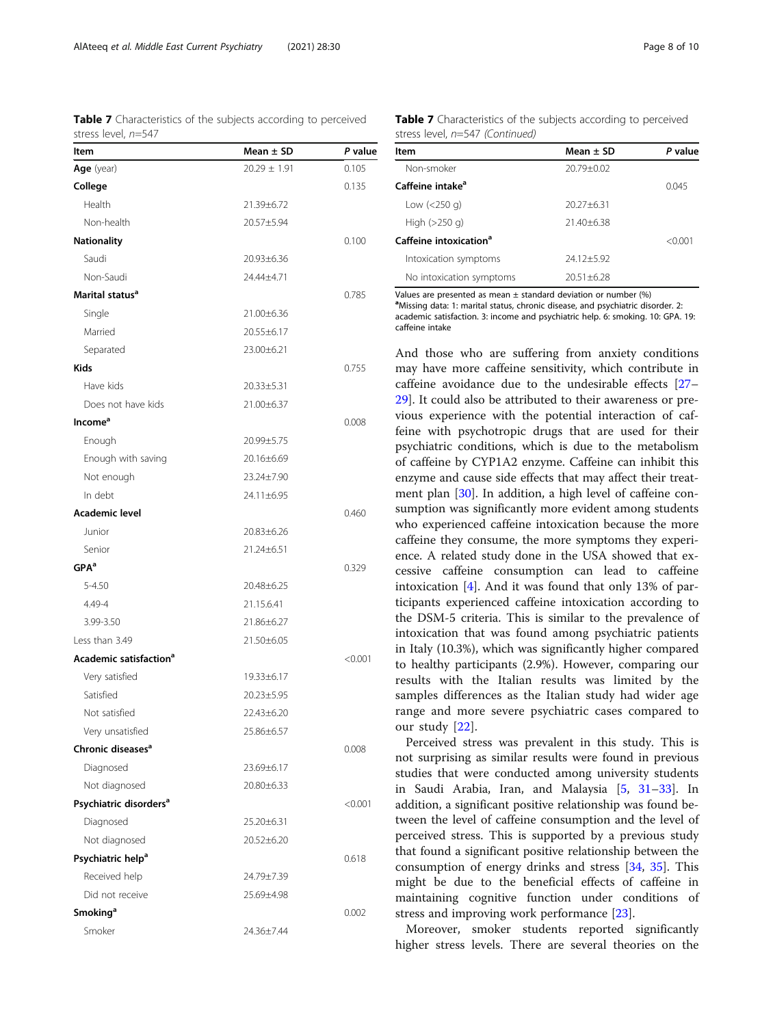<span id="page-7-0"></span>Table 7 Characteristics of the subjects according to perceived stress level, n=547

| Item                               | Mean $\pm$ SD    | P value |
|------------------------------------|------------------|---------|
| Age (year)                         | $20.29 \pm 1.91$ | 0.105   |
| College                            |                  | 0.135   |
| Health                             | 21.39±6.72       |         |
| Non-health                         | 20.57±5.94       |         |
| Nationality                        |                  | 0.100   |
| Saudi                              | 20.93±6.36       |         |
| Non-Saudi                          | 24.44±4.71       |         |
| Marital status <sup>a</sup>        |                  | 0.785   |
| Single                             | 21.00±6.36       |         |
| Married                            | 20.55±6.17       |         |
| Separated                          | 23.00±6.21       |         |
| <b>Kids</b>                        |                  | 0.755   |
| Have kids                          | 20.33±5.31       |         |
| Does not have kids                 | 21.00±6.37       |         |
| Income <sup>a</sup>                |                  | 0.008   |
| Enough                             | 20.99±5.75       |         |
| Enough with saving                 | 20.16±6.69       |         |
| Not enough                         | 23.24±7.90       |         |
| In debt                            | 24.11±6.95       |         |
| Academic level                     |                  | 0.460   |
| Junior                             | 20.83±6.26       |         |
| Senior                             | 21.24±6.51       |         |
| GPA <sup>a</sup>                   |                  | 0.329   |
| 5-4.50                             | 20.48±6.25       |         |
| 4.49-4                             | 21.15.6.41       |         |
| 3.99-3.50                          | 21.86±6.27       |         |
| Less than 3.49                     | 21.50±6.05       |         |
| Academic satisfaction <sup>a</sup> |                  | < 0.001 |
| Very satisfied                     | 19.33±6.17       |         |
| Satisfied                          | 20.23±5.95       |         |
| Not satisfied                      | $22.43 + 6.20$   |         |
| Very unsatisfied                   | 25.86±6.57       |         |
| Chronic diseases <sup>a</sup>      |                  | 0.008   |
| Diagnosed                          | 23.69±6.17       |         |
| Not diagnosed                      | 20.80±6.33       |         |
| Psychiatric disorders <sup>a</sup> |                  | < 0.001 |
| Diagnosed                          | 25.20±6.31       |         |
| Not diagnosed                      | 20.52±6.20       |         |
| Psychiatric help <sup>a</sup>      |                  | 0.618   |
| Received help                      | 24.79±7.39       |         |
| Did not receive                    | 25.69±4.98       |         |
| Smoking <sup>a</sup>               |                  | 0.002   |
| Smoker                             | 24.36±7.44       |         |

Table 7 Characteristics of the subjects according to perceived stress level, n=547 (Continued)

| ltem                               | $Mean + SD$    | P value   |  |
|------------------------------------|----------------|-----------|--|
| Non-smoker                         | $20.79 + 0.02$ |           |  |
| Caffeine intake <sup>a</sup>       |                | 0.045     |  |
| Low $(<250$ g)                     | $20.27 + 6.31$ |           |  |
| High $(>250$ g)                    | 21.40±6.38     |           |  |
| Caffeine intoxication <sup>a</sup> |                | $<$ 0.001 |  |
| Intoxication symptoms              | 24.12±5.92     |           |  |
| No intoxication symptoms           | $20.51 + 6.28$ |           |  |
|                                    |                |           |  |

Values are presented as mean  $\pm$  standard deviation or number (%)

<sup>a</sup>Missing data: 1: marital status, chronic disease, and psychiatric disorder. 2: academic satisfaction. 3: income and psychiatric help. 6: smoking. 10: GPA. 19: caffeine intake

And those who are suffering from anxiety conditions may have more caffeine sensitivity, which contribute in caffeine avoidance due to the undesirable effects [[27](#page-9-0)– [29\]](#page-9-0). It could also be attributed to their awareness or previous experience with the potential interaction of caffeine with psychotropic drugs that are used for their psychiatric conditions, which is due to the metabolism of caffeine by CYP1A2 enzyme. Caffeine can inhibit this enzyme and cause side effects that may affect their treatment plan [\[30](#page-9-0)]. In addition, a high level of caffeine consumption was significantly more evident among students who experienced caffeine intoxication because the more caffeine they consume, the more symptoms they experience. A related study done in the USA showed that excessive caffeine consumption can lead to caffeine intoxication [[4\]](#page-8-0). And it was found that only 13% of participants experienced caffeine intoxication according to the DSM-5 criteria. This is similar to the prevalence of intoxication that was found among psychiatric patients in Italy (10.3%), which was significantly higher compared to healthy participants (2.9%). However, comparing our results with the Italian results was limited by the samples differences as the Italian study had wider age range and more severe psychiatric cases compared to our study [[22\]](#page-9-0).

Perceived stress was prevalent in this study. This is not surprising as similar results were found in previous studies that were conducted among university students in Saudi Arabia, Iran, and Malaysia [\[5](#page-8-0), [31](#page-9-0)–[33\]](#page-9-0). In addition, a significant positive relationship was found between the level of caffeine consumption and the level of perceived stress. This is supported by a previous study that found a significant positive relationship between the consumption of energy drinks and stress [[34,](#page-9-0) [35\]](#page-9-0). This might be due to the beneficial effects of caffeine in maintaining cognitive function under conditions of stress and improving work performance [\[23](#page-9-0)].

Moreover, smoker students reported significantly higher stress levels. There are several theories on the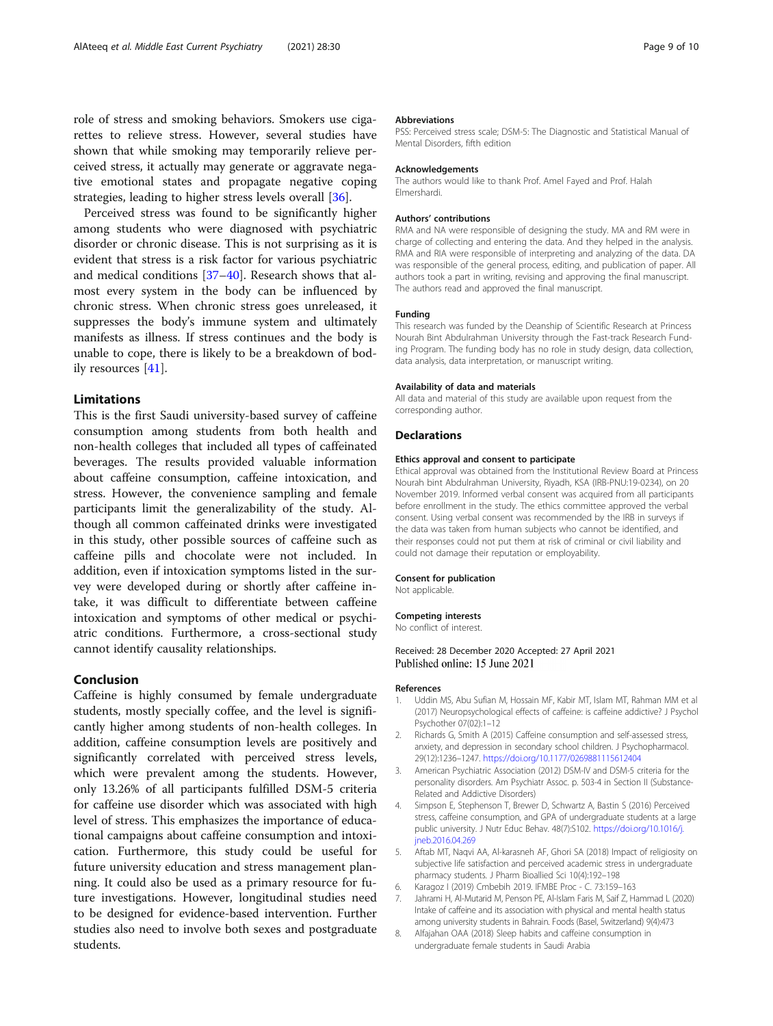<span id="page-8-0"></span>role of stress and smoking behaviors. Smokers use cigarettes to relieve stress. However, several studies have shown that while smoking may temporarily relieve perceived stress, it actually may generate or aggravate negative emotional states and propagate negative coping strategies, leading to higher stress levels overall [\[36\]](#page-9-0).

Perceived stress was found to be significantly higher among students who were diagnosed with psychiatric disorder or chronic disease. This is not surprising as it is evident that stress is a risk factor for various psychiatric and medical conditions [[37](#page-9-0)–[40\]](#page-9-0). Research shows that almost every system in the body can be influenced by chronic stress. When chronic stress goes unreleased, it suppresses the body's immune system and ultimately manifests as illness. If stress continues and the body is unable to cope, there is likely to be a breakdown of bodily resources [[41\]](#page-9-0).

#### Limitations

This is the first Saudi university-based survey of caffeine consumption among students from both health and non-health colleges that included all types of caffeinated beverages. The results provided valuable information about caffeine consumption, caffeine intoxication, and stress. However, the convenience sampling and female participants limit the generalizability of the study. Although all common caffeinated drinks were investigated in this study, other possible sources of caffeine such as caffeine pills and chocolate were not included. In addition, even if intoxication symptoms listed in the survey were developed during or shortly after caffeine intake, it was difficult to differentiate between caffeine intoxication and symptoms of other medical or psychiatric conditions. Furthermore, a cross-sectional study cannot identify causality relationships.

#### Conclusion

Caffeine is highly consumed by female undergraduate students, mostly specially coffee, and the level is significantly higher among students of non-health colleges. In addition, caffeine consumption levels are positively and significantly correlated with perceived stress levels, which were prevalent among the students. However, only 13.26% of all participants fulfilled DSM-5 criteria for caffeine use disorder which was associated with high level of stress. This emphasizes the importance of educational campaigns about caffeine consumption and intoxication. Furthermore, this study could be useful for future university education and stress management planning. It could also be used as a primary resource for future investigations. However, longitudinal studies need to be designed for evidence-based intervention. Further studies also need to involve both sexes and postgraduate students.

#### Abbreviations

PSS: Perceived stress scale; DSM-5: The Diagnostic and Statistical Manual of Mental Disorders, fifth edition

#### Acknowledgements

The authors would like to thank Prof. Amel Fayed and Prof. Halah Elmershardi.

#### Authors' contributions

RMA and NA were responsible of designing the study. MA and RM were in charge of collecting and entering the data. And they helped in the analysis. RMA and RIA were responsible of interpreting and analyzing of the data. DA was responsible of the general process, editing, and publication of paper. All authors took a part in writing, revising and approving the final manuscript. The authors read and approved the final manuscript.

#### Funding

This research was funded by the Deanship of Scientific Research at Princess Nourah Bint Abdulrahman University through the Fast-track Research Funding Program. The funding body has no role in study design, data collection, data analysis, data interpretation, or manuscript writing.

#### Availability of data and materials

All data and material of this study are available upon request from the corresponding author.

#### **Declarations**

#### Ethics approval and consent to participate

Ethical approval was obtained from the Institutional Review Board at Princess Nourah bint Abdulrahman University, Riyadh, KSA (IRB-PNU:19-0234), on 20 November 2019. Informed verbal consent was acquired from all participants before enrollment in the study. The ethics committee approved the verbal consent. Using verbal consent was recommended by the IRB in surveys if the data was taken from human subjects who cannot be identified, and their responses could not put them at risk of criminal or civil liability and could not damage their reputation or employability.

#### Consent for publication

Not applicable.

#### Competing interests

No conflict of interest.

#### Received: 28 December 2020 Accepted: 27 April 2021 Published online: 15 June 2021

#### References

- 1. Uddin MS, Abu Sufian M, Hossain MF, Kabir MT, Islam MT, Rahman MM et al (2017) Neuropsychological effects of caffeine: is caffeine addictive? J Psychol Psychother 07(02):1–12
- 2. Richards G, Smith A (2015) Caffeine consumption and self-assessed stress, anxiety, and depression in secondary school children. J Psychopharmacol. 29(12):1236–1247. <https://doi.org/10.1177/0269881115612404>
- 3. American Psychiatric Association (2012) DSM-IV and DSM-5 criteria for the personality disorders. Am Psychiatr Assoc. p. 503-4 in Section II (Substance-Related and Addictive Disorders)
- 4. Simpson E, Stephenson T, Brewer D, Schwartz A, Bastin S (2016) Perceived stress, caffeine consumption, and GPA of undergraduate students at a large public university. J Nutr Educ Behav. 48(7):S102. [https://doi.org/10.1016/j.](https://doi.org/10.1016/j.jneb.2016.04.269) [jneb.2016.04.269](https://doi.org/10.1016/j.jneb.2016.04.269)
- 5. Aftab MT, Naqvi AA, Al-karasneh AF, Ghori SA (2018) Impact of religiosity on subjective life satisfaction and perceived academic stress in undergraduate pharmacy students. J Pharm Bioallied Sci 10(4):192–198
- 6. Karagoz I (2019) Cmbebih 2019. IFMBE Proc C. 73:159–163
- 7. Jahrami H, Al-Mutarid M, Penson PE, Al-Islam Faris M, Saif Z, Hammad L (2020) Intake of caffeine and its association with physical and mental health status among university students in Bahrain. Foods (Basel, Switzerland) 9(4):473
- 8. Alfajahan OAA (2018) Sleep habits and caffeine consumption in undergraduate female students in Saudi Arabia